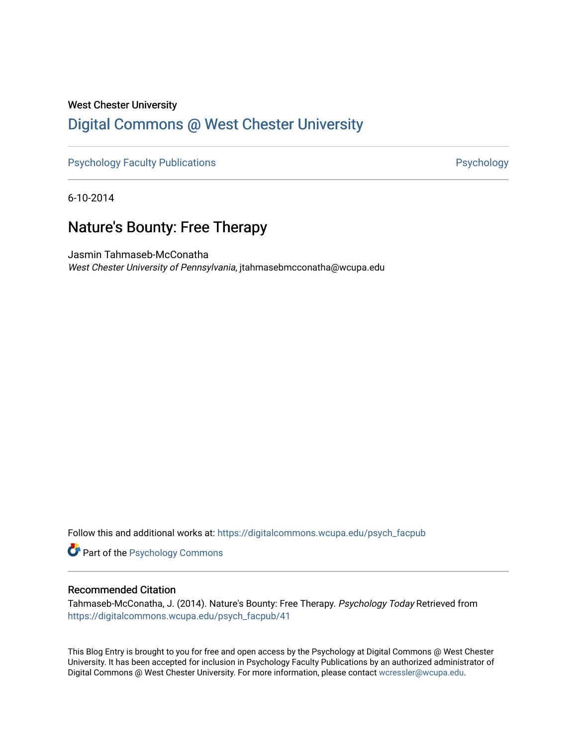### West Chester University [Digital Commons @ West Chester University](https://digitalcommons.wcupa.edu/)

[Psychology Faculty Publications](https://digitalcommons.wcupa.edu/psych_facpub) **Psychology** Psychology

6-10-2014

## Nature's Bounty: Free Therapy

Jasmin Tahmaseb-McConatha West Chester University of Pennsylvania, jtahmasebmcconatha@wcupa.edu

Follow this and additional works at: [https://digitalcommons.wcupa.edu/psych\\_facpub](https://digitalcommons.wcupa.edu/psych_facpub?utm_source=digitalcommons.wcupa.edu%2Fpsych_facpub%2F41&utm_medium=PDF&utm_campaign=PDFCoverPages)

**Part of the Psychology Commons** 

#### Recommended Citation

Tahmaseb-McConatha, J. (2014). Nature's Bounty: Free Therapy. Psychology Today Retrieved from [https://digitalcommons.wcupa.edu/psych\\_facpub/41](https://digitalcommons.wcupa.edu/psych_facpub/41?utm_source=digitalcommons.wcupa.edu%2Fpsych_facpub%2F41&utm_medium=PDF&utm_campaign=PDFCoverPages) 

This Blog Entry is brought to you for free and open access by the Psychology at Digital Commons @ West Chester University. It has been accepted for inclusion in Psychology Faculty Publications by an authorized administrator of Digital Commons @ West Chester University. For more information, please contact [wcressler@wcupa.edu](mailto:wcressler@wcupa.edu).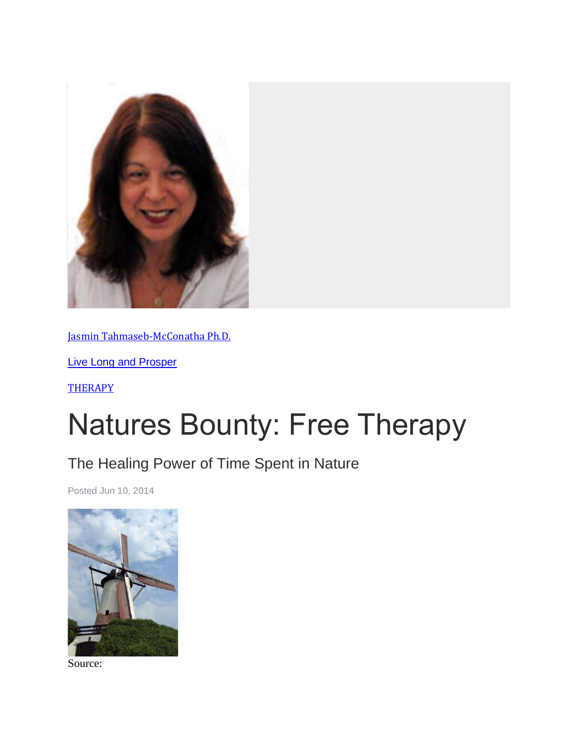

[Jasmin Tahmaseb-McConatha Ph.D.](https://www.psychologytoday.com/us/experts/jasmin-tahmaseb-mcconatha-phd)

[Live Long and Prosper](https://www.psychologytoday.com/us/blog/live-long-and-prosper)

**[THERAPY](https://www.psychologytoday.com/us/basics/therapy)** 

# Natures Bounty: Free Therapy

# The Healing Power of Time Spent in Nature

Posted Jun 10, 2014



Source: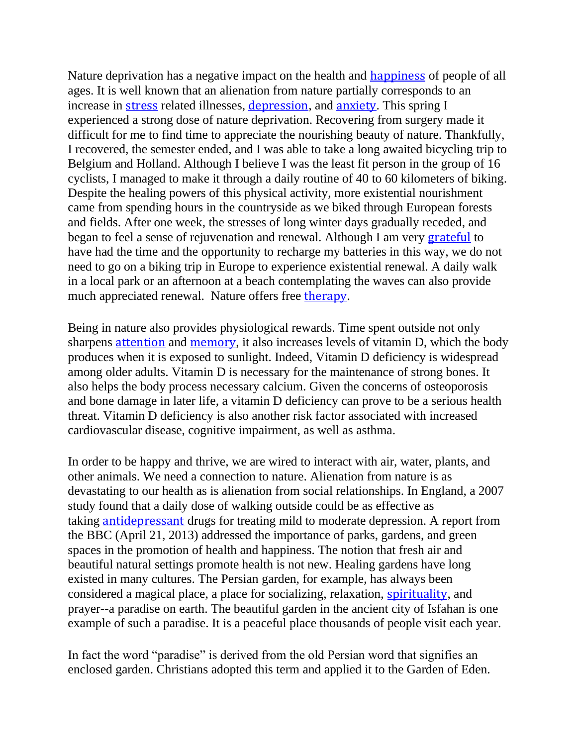Nature deprivation has a negative impact on the health and **[happiness](https://www.psychologytoday.com/us/basics/happiness)** of people of all ages. It is well known that an alienation from nature partially corresponds to an increase in [stress](https://www.psychologytoday.com/us/basics/stress) related illnesses, [depression](https://www.psychologytoday.com/us/basics/depression), and [anxiety](https://www.psychologytoday.com/us/basics/anxiety). This spring I experienced a strong dose of nature deprivation. Recovering from surgery made it difficult for me to find time to appreciate the nourishing beauty of nature. Thankfully, I recovered, the semester ended, and I was able to take a long awaited bicycling trip to Belgium and Holland. Although I believe I was the least fit person in the group of 16 cyclists, I managed to make it through a daily routine of 40 to 60 kilometers of biking. Despite the healing powers of this physical activity, more existential nourishment came from spending hours in the countryside as we biked through European forests and fields. After one week, the stresses of long winter days gradually receded, and began to feel a sense of rejuvenation and renewal. Although I am very [grateful](https://www.psychologytoday.com/us/basics/gratitude) to have had the time and the opportunity to recharge my batteries in this way, we do not need to go on a biking trip in Europe to experience existential renewal. A daily walk in a local park or an afternoon at a beach contemplating the waves can also provide much appreciated renewal. Nature offers free [therapy](https://www.psychologytoday.com/us/basics/therapy).

Being in nature also provides physiological rewards. Time spent outside not only sharpens [attention](https://www.psychologytoday.com/us/basics/attention) and [memory](https://www.psychologytoday.com/us/basics/memory), it also increases levels of vitamin D, which the body produces when it is exposed to sunlight. Indeed, Vitamin D deficiency is widespread among older adults. Vitamin D is necessary for the maintenance of strong bones. It also helps the body process necessary calcium. Given the concerns of osteoporosis and bone damage in later life, a vitamin D deficiency can prove to be a serious health threat. Vitamin D deficiency is also another risk factor associated with increased cardiovascular disease, cognitive impairment, as well as asthma.

In order to be happy and thrive, we are wired to interact with air, water, plants, and other animals. We need a connection to nature. Alienation from nature is as devastating to our health as is alienation from social relationships. In England, a 2007 study found that a daily dose of walking outside could be as effective as taking [antidepressant](https://www.psychologytoday.com/us/basics/ssris) drugs for treating mild to moderate depression. A report from the BBC (April 21, 2013) addressed the importance of parks, gardens, and green spaces in the promotion of health and happiness. The notion that fresh air and beautiful natural settings promote health is not new. Healing gardens have long existed in many cultures. The Persian garden, for example, has always been considered a magical place, a place for socializing, relaxation, [spirituality](https://www.psychologytoday.com/us/basics/spirituality), and prayer--a paradise on earth. The beautiful garden in the ancient city of Isfahan is one example of such a paradise. It is a peaceful place thousands of people visit each year.

In fact the word "paradise" is derived from the old Persian word that signifies an enclosed garden. Christians adopted this term and applied it to the Garden of Eden.